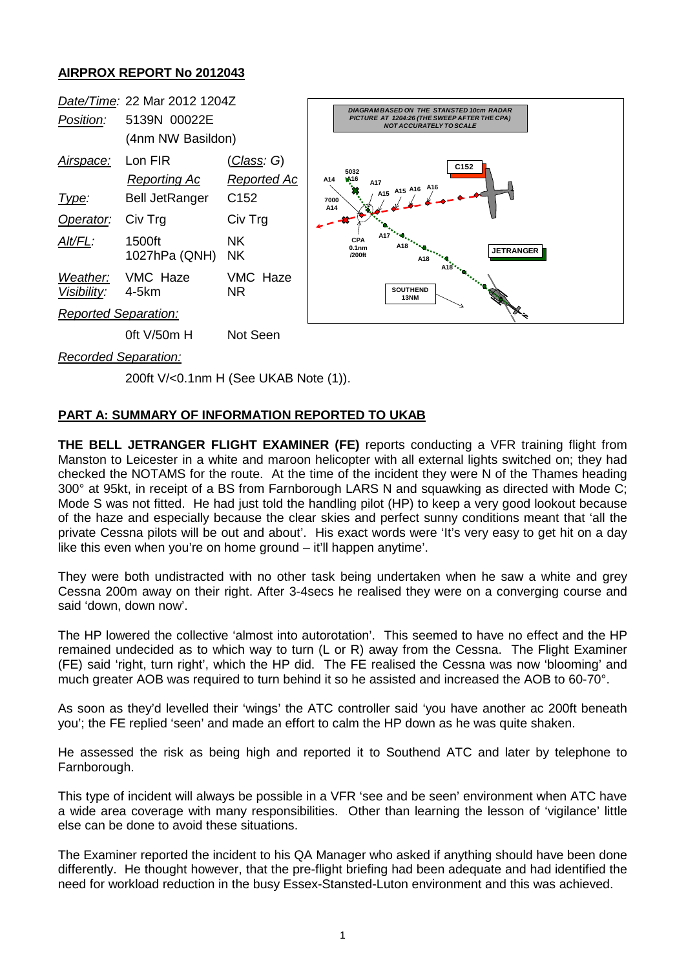## **AIRPROX REPORT No 2012043**



*Recorded Separation:*

200ft V/<0.1nm H (See UKAB Note (1)).

## **PART A: SUMMARY OF INFORMATION REPORTED TO UKAB**

**THE BELL JETRANGER FLIGHT EXAMINER (FE)** reports conducting a VFR training flight from Manston to Leicester in a white and maroon helicopter with all external lights switched on; they had checked the NOTAMS for the route. At the time of the incident they were N of the Thames heading 300° at 95kt, in receipt of a BS from Farnborough LARS N and squawking as directed with Mode C; Mode S was not fitted. He had just told the handling pilot (HP) to keep a very good lookout because of the haze and especially because the clear skies and perfect sunny conditions meant that 'all the private Cessna pilots will be out and about'. His exact words were 'It's very easy to get hit on a day like this even when you're on home ground – it'll happen anytime'.

They were both undistracted with no other task being undertaken when he saw a white and grey Cessna 200m away on their right. After 3-4secs he realised they were on a converging course and said 'down, down now'.

The HP lowered the collective 'almost into autorotation'. This seemed to have no effect and the HP remained undecided as to which way to turn (L or R) away from the Cessna. The Flight Examiner (FE) said 'right, turn right', which the HP did. The FE realised the Cessna was now 'blooming' and much greater AOB was required to turn behind it so he assisted and increased the AOB to 60-70°.

As soon as they'd levelled their 'wings' the ATC controller said 'you have another ac 200ft beneath you'; the FE replied 'seen' and made an effort to calm the HP down as he was quite shaken.

He assessed the risk as being high and reported it to Southend ATC and later by telephone to Farnborough.

This type of incident will always be possible in a VFR 'see and be seen' environment when ATC have a wide area coverage with many responsibilities. Other than learning the lesson of 'vigilance' little else can be done to avoid these situations.

The Examiner reported the incident to his QA Manager who asked if anything should have been done differently. He thought however, that the pre-flight briefing had been adequate and had identified the need for workload reduction in the busy Essex-Stansted-Luton environment and this was achieved.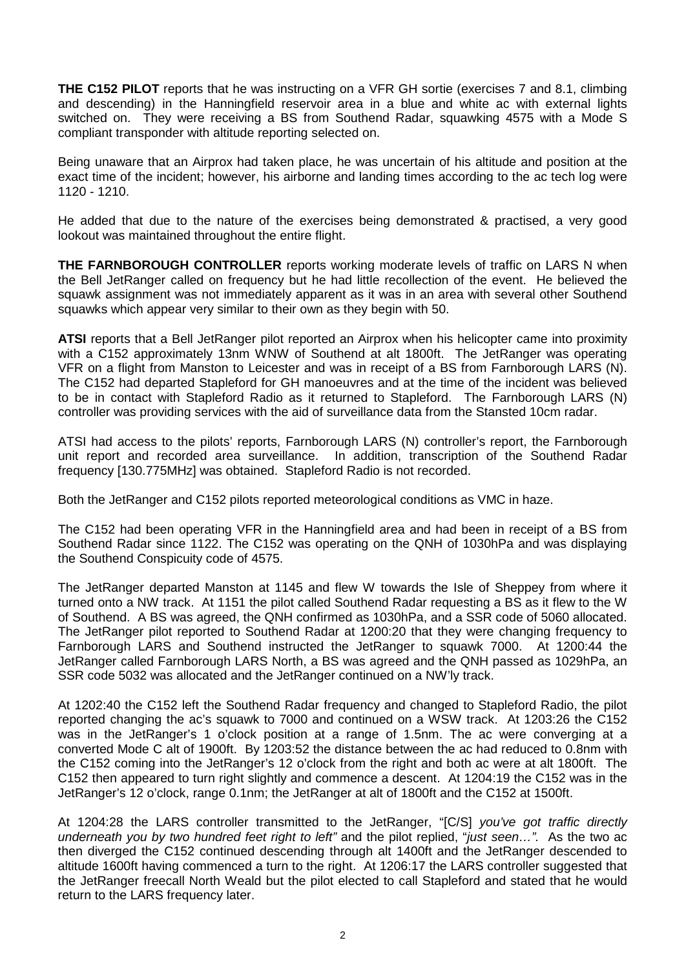**THE C152 PILOT** reports that he was instructing on a VFR GH sortie (exercises 7 and 8.1, climbing and descending) in the Hanningfield reservoir area in a blue and white ac with external lights switched on. They were receiving a BS from Southend Radar, squawking 4575 with a Mode S compliant transponder with altitude reporting selected on.

Being unaware that an Airprox had taken place, he was uncertain of his altitude and position at the exact time of the incident; however, his airborne and landing times according to the ac tech log were 1120 - 1210.

He added that due to the nature of the exercises being demonstrated & practised, a very good lookout was maintained throughout the entire flight.

**THE FARNBOROUGH CONTROLLER** reports working moderate levels of traffic on LARS N when the Bell JetRanger called on frequency but he had little recollection of the event. He believed the squawk assignment was not immediately apparent as it was in an area with several other Southend squawks which appear very similar to their own as they begin with 50.

**ATSI** reports that a Bell JetRanger pilot reported an Airprox when his helicopter came into proximity with a C152 approximately 13nm WNW of Southend at alt 1800ft. The JetRanger was operating VFR on a flight from Manston to Leicester and was in receipt of a BS from Farnborough LARS (N). The C152 had departed Stapleford for GH manoeuvres and at the time of the incident was believed to be in contact with Stapleford Radio as it returned to Stapleford. The Farnborough LARS (N) controller was providing services with the aid of surveillance data from the Stansted 10cm radar.

ATSI had access to the pilots' reports, Farnborough LARS (N) controller's report, the Farnborough unit report and recorded area surveillance. In addition, transcription of the Southend Radar frequency [130.775MHz] was obtained. Stapleford Radio is not recorded.

Both the JetRanger and C152 pilots reported meteorological conditions as VMC in haze.

The C152 had been operating VFR in the Hanningfield area and had been in receipt of a BS from Southend Radar since 1122. The C152 was operating on the QNH of 1030hPa and was displaying the Southend Conspicuity code of 4575.

The JetRanger departed Manston at 1145 and flew W towards the Isle of Sheppey from where it turned onto a NW track. At 1151 the pilot called Southend Radar requesting a BS as it flew to the W of Southend. A BS was agreed, the QNH confirmed as 1030hPa, and a SSR code of 5060 allocated. The JetRanger pilot reported to Southend Radar at 1200:20 that they were changing frequency to Farnborough LARS and Southend instructed the JetRanger to squawk 7000. At 1200:44 the JetRanger called Farnborough LARS North, a BS was agreed and the QNH passed as 1029hPa, an SSR code 5032 was allocated and the JetRanger continued on a NW'ly track.

At 1202:40 the C152 left the Southend Radar frequency and changed to Stapleford Radio, the pilot reported changing the ac's squawk to 7000 and continued on a WSW track. At 1203:26 the C152 was in the JetRanger's 1 o'clock position at a range of 1.5nm. The ac were converging at a converted Mode C alt of 1900ft. By 1203:52 the distance between the ac had reduced to 0.8nm with the C152 coming into the JetRanger's 12 o'clock from the right and both ac were at alt 1800ft. The C152 then appeared to turn right slightly and commence a descent. At 1204:19 the C152 was in the JetRanger's 12 o'clock, range 0.1nm; the JetRanger at alt of 1800ft and the C152 at 1500ft.

At 1204:28 the LARS controller transmitted to the JetRanger, "[C/S] *you've got traffic directly underneath you by two hundred feet right to left"* and the pilot replied, "*just seen…".* As the two ac then diverged the C152 continued descending through alt 1400ft and the JetRanger descended to altitude 1600ft having commenced a turn to the right. At 1206:17 the LARS controller suggested that the JetRanger freecall North Weald but the pilot elected to call Stapleford and stated that he would return to the LARS frequency later.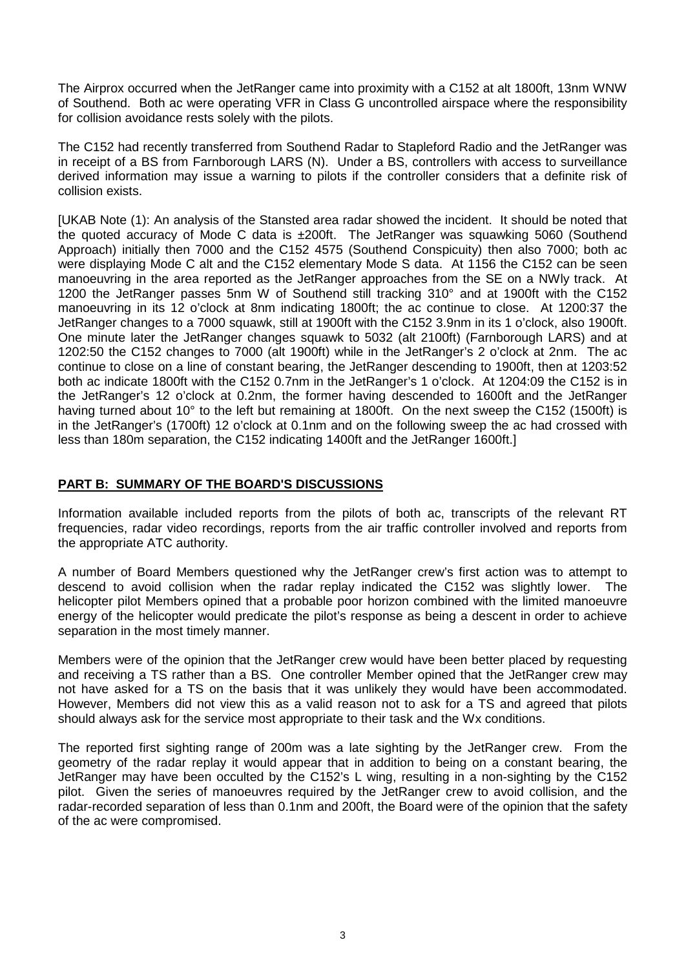The Airprox occurred when the JetRanger came into proximity with a C152 at alt 1800ft, 13nm WNW of Southend. Both ac were operating VFR in Class G uncontrolled airspace where the responsibility for collision avoidance rests solely with the pilots.

The C152 had recently transferred from Southend Radar to Stapleford Radio and the JetRanger was in receipt of a BS from Farnborough LARS (N). Under a BS, controllers with access to surveillance derived information may issue a warning to pilots if the controller considers that a definite risk of collision exists.

[UKAB Note (1): An analysis of the Stansted area radar showed the incident. It should be noted that the quoted accuracy of Mode C data is ±200ft. The JetRanger was squawking 5060 (Southend Approach) initially then 7000 and the C152 4575 (Southend Conspicuity) then also 7000; both ac were displaying Mode C alt and the C152 elementary Mode S data. At 1156 the C152 can be seen manoeuvring in the area reported as the JetRanger approaches from the SE on a NWly track. At 1200 the JetRanger passes 5nm W of Southend still tracking 310° and at 1900ft with the C152 manoeuvring in its 12 o'clock at 8nm indicating 1800ft; the ac continue to close. At 1200:37 the JetRanger changes to a 7000 squawk, still at 1900ft with the C152 3.9nm in its 1 o'clock, also 1900ft. One minute later the JetRanger changes squawk to 5032 (alt 2100ft) (Farnborough LARS) and at 1202:50 the C152 changes to 7000 (alt 1900ft) while in the JetRanger's 2 o'clock at 2nm. The ac continue to close on a line of constant bearing, the JetRanger descending to 1900ft, then at 1203:52 both ac indicate 1800ft with the C152 0.7nm in the JetRanger's 1 o'clock. At 1204:09 the C152 is in the JetRanger's 12 o'clock at 0.2nm, the former having descended to 1600ft and the JetRanger having turned about 10° to the left but remaining at 1800ft. On the next sweep the C152 (1500ft) is in the JetRanger's (1700ft) 12 o'clock at 0.1nm and on the following sweep the ac had crossed with less than 180m separation, the C152 indicating 1400ft and the JetRanger 1600ft.]

## **PART B: SUMMARY OF THE BOARD'S DISCUSSIONS**

Information available included reports from the pilots of both ac, transcripts of the relevant RT frequencies, radar video recordings, reports from the air traffic controller involved and reports from the appropriate ATC authority.

A number of Board Members questioned why the JetRanger crew's first action was to attempt to descend to avoid collision when the radar replay indicated the C152 was slightly lower. The helicopter pilot Members opined that a probable poor horizon combined with the limited manoeuvre energy of the helicopter would predicate the pilot's response as being a descent in order to achieve separation in the most timely manner.

Members were of the opinion that the JetRanger crew would have been better placed by requesting and receiving a TS rather than a BS. One controller Member opined that the JetRanger crew may not have asked for a TS on the basis that it was unlikely they would have been accommodated. However, Members did not view this as a valid reason not to ask for a TS and agreed that pilots should always ask for the service most appropriate to their task and the Wx conditions.

The reported first sighting range of 200m was a late sighting by the JetRanger crew. From the geometry of the radar replay it would appear that in addition to being on a constant bearing, the JetRanger may have been occulted by the C152's L wing, resulting in a non-sighting by the C152 pilot. Given the series of manoeuvres required by the JetRanger crew to avoid collision, and the radar-recorded separation of less than 0.1nm and 200ft, the Board were of the opinion that the safety of the ac were compromised.